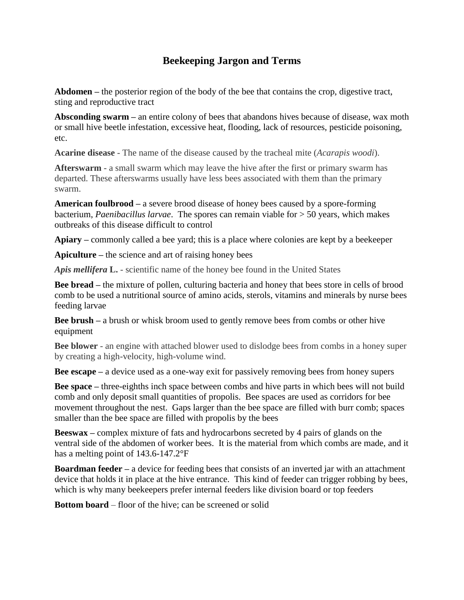## **Beekeeping Jargon and Terms**

**Abdomen –** the posterior region of the body of the bee that contains the crop, digestive tract, sting and reproductive tract

**Absconding swarm –** an entire colony of bees that abandons hives because of disease, wax moth or small hive beetle infestation, excessive heat, flooding, lack of resources, pesticide poisoning, etc.

**Acarine disease** - The name of the disease caused by the tracheal mite (*Acarapis woodi*).

**Afterswarm** - a small swarm which may leave the hive after the first or primary swarm has departed. These afterswarms usually have less bees associated with them than the primary swarm.

**American foulbrood –** a severe brood disease of honey bees caused by a spore-forming bacterium, *Paenibacillus larvae*. The spores can remain viable for > 50 years, which makes outbreaks of this disease difficult to control

**Apiary –** commonly called a bee yard; this is a place where colonies are kept by a beekeeper

**Apiculture –** the science and art of raising honey bees

*Apis mellifera* **L.** - scientific name of the honey bee found in the United States

**Bee bread –** the mixture of pollen, culturing bacteria and honey that bees store in cells of brood comb to be used a nutritional source of amino acids, sterols, vitamins and minerals by nurse bees feeding larvae

**Bee brush –** a brush or whisk broom used to gently remove bees from combs or other hive equipment

**Bee blower** - an engine with attached blower used to dislodge bees from combs in a honey super by creating a high-velocity, high-volume wind.

**Bee escape –** a device used as a one-way exit for passively removing bees from honey supers

**Bee space –** three-eighths inch space between combs and hive parts in which bees will not build comb and only deposit small quantities of propolis. Bee spaces are used as corridors for bee movement throughout the nest. Gaps larger than the bee space are filled with burr comb; spaces smaller than the bee space are filled with propolis by the bees

**Beeswax –** complex mixture of fats and hydrocarbons secreted by 4 pairs of glands on the ventral side of the abdomen of worker bees. It is the material from which combs are made, and it has a melting point of 143.6-147.2°F

**Boardman feeder** – a device for feeding bees that consists of an inverted jar with an attachment device that holds it in place at the hive entrance. This kind of feeder can trigger robbing by bees, which is why many beekeepers prefer internal feeders like division board or top feeders

**Bottom board** – floor of the hive; can be screened or solid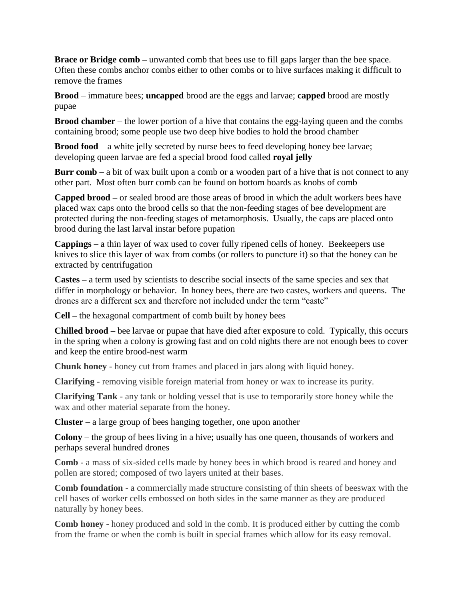**Brace or Bridge comb –** unwanted comb that bees use to fill gaps larger than the bee space. Often these combs anchor combs either to other combs or to hive surfaces making it difficult to remove the frames

**Brood** – immature bees; **uncapped** brood are the eggs and larvae; **capped** brood are mostly pupae

**Brood chamber** – the lower portion of a hive that contains the egg-laying queen and the combs containing brood; some people use two deep hive bodies to hold the brood chamber

**Brood food** – a white jelly secreted by nurse bees to feed developing honey bee larvae; developing queen larvae are fed a special brood food called **royal jelly**

**Burr comb –** a bit of wax built upon a comb or a wooden part of a hive that is not connect to any other part. Most often burr comb can be found on bottom boards as knobs of comb

**Capped brood –** or sealed brood are those areas of brood in which the adult workers bees have placed wax caps onto the brood cells so that the non-feeding stages of bee development are protected during the non-feeding stages of metamorphosis. Usually, the caps are placed onto brood during the last larval instar before pupation

**Cappings –** a thin layer of wax used to cover fully ripened cells of honey. Beekeepers use knives to slice this layer of wax from combs (or rollers to puncture it) so that the honey can be extracted by centrifugation

**Castes –** a term used by scientists to describe social insects of the same species and sex that differ in morphology or behavior. In honey bees, there are two castes, workers and queens. The drones are a different sex and therefore not included under the term "caste"

**Cell –** the hexagonal compartment of comb built by honey bees

**Chilled brood –** bee larvae or pupae that have died after exposure to cold. Typically, this occurs in the spring when a colony is growing fast and on cold nights there are not enough bees to cover and keep the entire brood-nest warm

**Chunk honey** - honey cut from frames and placed in jars along with liquid honey.

**Clarifying** - removing visible foreign material from honey or wax to increase its purity.

**Clarifying Tank** - any tank or holding vessel that is use to temporarily store honey while the wax and other material separate from the honey.

**Cluster –** a large group of bees hanging together, one upon another

**Colony** – the group of bees living in a hive; usually has one queen, thousands of workers and perhaps several hundred drones

**Comb** - a mass of six-sided cells made by honey bees in which brood is reared and honey and pollen are stored; composed of two layers united at their bases.

**Comb foundation** - a commercially made structure consisting of thin sheets of beeswax with the cell bases of worker cells embossed on both sides in the same manner as they are produced naturally by honey bees.

**Comb honey** - honey produced and sold in the comb. It is produced either by cutting the comb from the frame or when the comb is built in special frames which allow for its easy removal.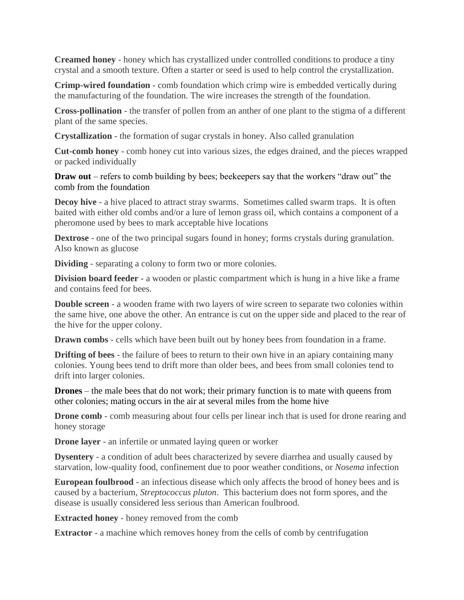**Creamed honey** - honey which has crystallized under controlled conditions to produce a tiny crystal and a smooth texture. Often a starter or seed is used to help control the crystallization.

**Crimp-wired foundation** - comb foundation which crimp wire is embedded vertically during the manufacturing of the foundation. The wire increases the strength of the foundation.

**Cross-pollination** - the transfer of pollen from an anther of one plant to the stigma of a different plant of the same species.

**Crystallization** - the formation of sugar crystals in honey. Also called granulation

**Cut-comb honey** - comb honey cut into various sizes, the edges drained, and the pieces wrapped or packed individually

**Draw out** – refers to comb building by bees; beekeepers say that the workers "draw out" the comb from the foundation

**Decoy hive** - a hive placed to attract stray swarms. Sometimes called swarm traps. It is often baited with either old combs and/or a lure of lemon grass oil, which contains a component of a pheromone used by bees to mark acceptable hive locations

**Dextrose** - one of the two principal sugars found in honey; forms crystals during granulation. Also known as glucose

**Dividing** - separating a colony to form two or more colonies.

**Division board feeder** - a wooden or plastic compartment which is hung in a hive like a frame and contains feed for bees.

**Double screen** - a wooden frame with two layers of wire screen to separate two colonies within the same hive, one above the other. An entrance is cut on the upper side and placed to the rear of the hive for the upper colony.

**Drawn combs** - cells which have been built out by honey bees from foundation in a frame.

**Drifting of bees** - the failure of bees to return to their own hive in an apiary containing many colonies. Young bees tend to drift more than older bees, and bees from small colonies tend to drift into larger colonies.

**Drones** – the male bees that do not work; their primary function is to mate with queens from other colonies; mating occurs in the air at several miles from the home hive

**Drone comb** - comb measuring about four cells per linear inch that is used for drone rearing and honey storage

**Drone layer** - an infertile or unmated laying queen or worker

**Dysentery** - a condition of adult bees characterized by severe diarrhea and usually caused by starvation, low-quality food, confinement due to poor weather conditions, or *Nosema* infection

**European foulbrood** - an infectious disease which only affects the brood of honey bees and is caused by a bacterium, *Streptococcus pluton*. This bacterium does not form spores, and the disease is usually considered less serious than American foulbrood.

**Extracted honey** - honey removed from the comb

**Extractor** - a machine which removes honey from the cells of comb by centrifugation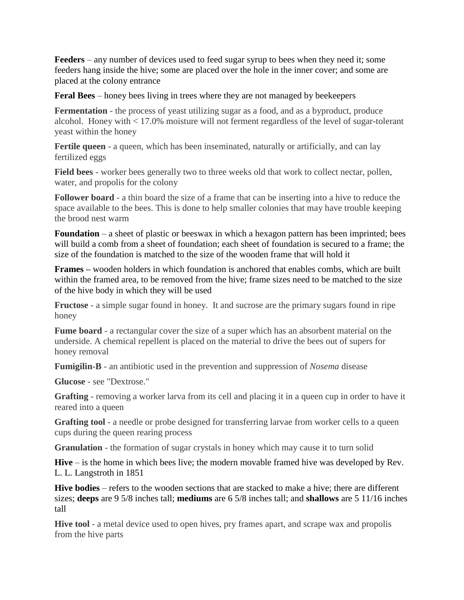**Feeders** – any number of devices used to feed sugar syrup to bees when they need it; some feeders hang inside the hive; some are placed over the hole in the inner cover; and some are placed at the colony entrance

**Feral Bees** – honey bees living in trees where they are not managed by beekeepers

**Fermentation** - the process of yeast utilizing sugar as a food, and as a byproduct, produce alcohol. Honey with < 17.0% moisture will not ferment regardless of the level of sugar-tolerant yeast within the honey

**Fertile queen** - a queen, which has been inseminated, naturally or artificially, and can lay fertilized eggs

**Field bees** - worker bees generally two to three weeks old that work to collect nectar, pollen, water, and propolis for the colony

**Follower board** - a thin board the size of a frame that can be inserting into a hive to reduce the space available to the bees. This is done to help smaller colonies that may have trouble keeping the brood nest warm

**Foundation** – a sheet of plastic or beeswax in which a hexagon pattern has been imprinted; bees will build a comb from a sheet of foundation; each sheet of foundation is secured to a frame; the size of the foundation is matched to the size of the wooden frame that will hold it

**Frames –** wooden holders in which foundation is anchored that enables combs, which are built within the framed area, to be removed from the hive; frame sizes need to be matched to the size of the hive body in which they will be used

**Fructose** - a simple sugar found in honey. It and sucrose are the primary sugars found in ripe honey

**Fume board** - a rectangular cover the size of a super which has an absorbent material on the underside. A chemical repellent is placed on the material to drive the bees out of supers for honey removal

**Fumigilin-B** - an antibiotic used in the prevention and suppression of *Nosema* disease

**Glucose** - see "Dextrose."

**Grafting** - removing a worker larva from its cell and placing it in a queen cup in order to have it reared into a queen

**Grafting tool** - a needle or probe designed for transferring larvae from worker cells to a queen cups during the queen rearing process

**Granulation** - the formation of sugar crystals in honey which may cause it to turn solid

**Hive** – is the home in which bees live; the modern movable framed hive was developed by Rev. L. L. Langstroth in 1851

**Hive bodies** – refers to the wooden sections that are stacked to make a hive; there are different sizes; **deeps** are 9 5/8 inches tall; **mediums** are 6 5/8 inches tall; and **shallows** are 5 11/16 inches tall

**Hive tool** - a metal device used to open hives, pry frames apart, and scrape wax and propolis from the hive parts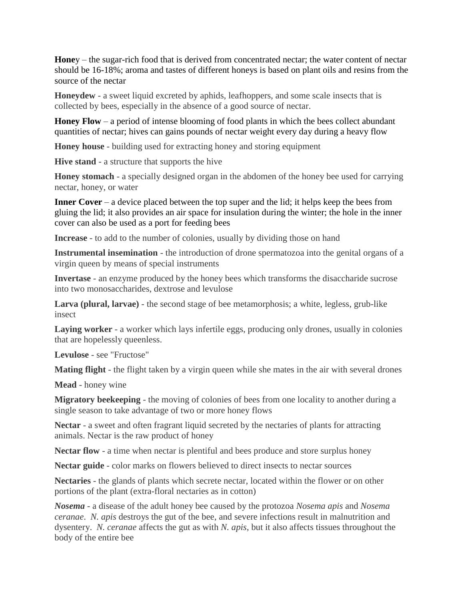**Hone**y – the sugar-rich food that is derived from concentrated nectar; the water content of nectar should be 16-18%; aroma and tastes of different honeys is based on plant oils and resins from the source of the nectar

**Honeydew** - a sweet liquid excreted by aphids, leafhoppers, and some scale insects that is collected by bees, especially in the absence of a good source of nectar.

**Honey Flow** – a period of intense blooming of food plants in which the bees collect abundant quantities of nectar; hives can gains pounds of nectar weight every day during a heavy flow

**Honey house** - building used for extracting honey and storing equipment

**Hive stand** - a structure that supports the hive

**Honey stomach** - a specially designed organ in the abdomen of the honey bee used for carrying nectar, honey, or water

**Inner Cover** – a device placed between the top super and the lid; it helps keep the bees from gluing the lid; it also provides an air space for insulation during the winter; the hole in the inner cover can also be used as a port for feeding bees

**Increase** - to add to the number of colonies, usually by dividing those on hand

**Instrumental insemination** - the introduction of drone spermatozoa into the genital organs of a virgin queen by means of special instruments

**Invertase** - an enzyme produced by the honey bees which transforms the disaccharide sucrose into two monosaccharides, dextrose and levulose

**Larva (plural, larvae)** - the second stage of bee metamorphosis; a white, legless, grub-like insect

**Laying worker** - a worker which lays infertile eggs, producing only drones, usually in colonies that are hopelessly queenless.

**Levulose** - see "Fructose"

**Mating flight** - the flight taken by a virgin queen while she mates in the air with several drones

**Mead** - honey wine

**Migratory beekeeping** - the moving of colonies of bees from one locality to another during a single season to take advantage of two or more honey flows

**Nectar** - a sweet and often fragrant liquid secreted by the nectaries of plants for attracting animals. Nectar is the raw product of honey

**Nectar flow** - a time when nectar is plentiful and bees produce and store surplus honey

**Nectar guide** - color marks on flowers believed to direct insects to nectar sources

**Nectaries** - the glands of plants which secrete nectar, located within the flower or on other portions of the plant (extra-floral nectaries as in cotton)

*Nosema* - a disease of the adult honey bee caused by the protozoa *Nosema apis* and *Nosema ceranae*. *N. apis* destroys the gut of the bee, and severe infections result in malnutrition and dysentery. *N. ceranae* affects the gut as with *N. apis*, but it also affects tissues throughout the body of the entire bee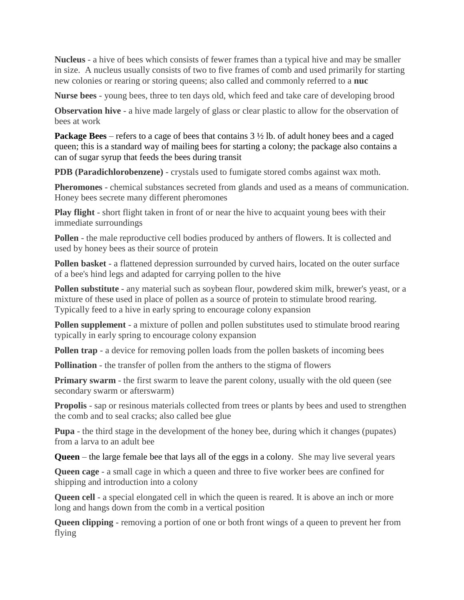**Nucleus** - a hive of bees which consists of fewer frames than a typical hive and may be smaller in size. A nucleus usually consists of two to five frames of comb and used primarily for starting new colonies or rearing or storing queens; also called and commonly referred to a **nuc**

**Nurse bees** - young bees, three to ten days old, which feed and take care of developing brood

**Observation hive** - a hive made largely of glass or clear plastic to allow for the observation of bees at work

**Package Bees** – refers to a cage of bees that contains 3 ½ lb. of adult honey bees and a caged queen; this is a standard way of mailing bees for starting a colony; the package also contains a can of sugar syrup that feeds the bees during transit

**PDB (Paradichlorobenzene)** - crystals used to fumigate stored combs against wax moth.

**Pheromones** - chemical substances secreted from glands and used as a means of communication. Honey bees secrete many different pheromones

**Play flight** - short flight taken in front of or near the hive to acquaint young bees with their immediate surroundings

**Pollen** - the male reproductive cell bodies produced by anthers of flowers. It is collected and used by honey bees as their source of protein

**Pollen basket** - a flattened depression surrounded by curved hairs, located on the outer surface of a bee's hind legs and adapted for carrying pollen to the hive

**Pollen substitute** - any material such as soybean flour, powdered skim milk, brewer's yeast, or a mixture of these used in place of pollen as a source of protein to stimulate brood rearing. Typically feed to a hive in early spring to encourage colony expansion

**Pollen supplement** - a mixture of pollen and pollen substitutes used to stimulate brood rearing typically in early spring to encourage colony expansion

**Pollen trap** - a device for removing pollen loads from the pollen baskets of incoming bees

**Pollination** - the transfer of pollen from the anthers to the stigma of flowers

**Primary swarm** - the first swarm to leave the parent colony, usually with the old queen (see secondary swarm or afterswarm)

**Propolis** - sap or resinous materials collected from trees or plants by bees and used to strengthen the comb and to seal cracks; also called bee glue

**Pupa** - the third stage in the development of the honey bee, during which it changes (pupates) from a larva to an adult bee

**Queen** – the large female bee that lays all of the eggs in a colony. She may live several years

**Queen cage** - a small cage in which a queen and three to five worker bees are confined for shipping and introduction into a colony

**Queen cell** - a special elongated cell in which the queen is reared. It is above an inch or more long and hangs down from the comb in a vertical position

**Queen clipping** - removing a portion of one or both front wings of a queen to prevent her from flying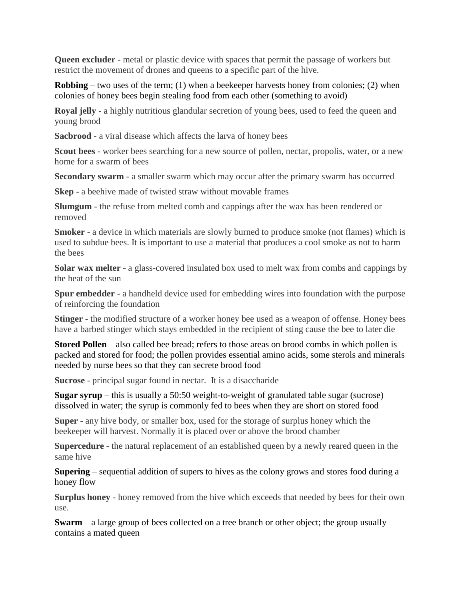**Queen excluder** - metal or plastic device with spaces that permit the passage of workers but restrict the movement of drones and queens to a specific part of the hive.

**Robbing** – two uses of the term; (1) when a beekeeper harvests honey from colonies; (2) when colonies of honey bees begin stealing food from each other (something to avoid)

**Royal jelly** - a highly nutritious glandular secretion of young bees, used to feed the queen and young brood

**Sacbrood** - a viral disease which affects the larva of honey bees

**Scout bees** - worker bees searching for a new source of pollen, nectar, propolis, water, or a new home for a swarm of bees

**Secondary swarm** - a smaller swarm which may occur after the primary swarm has occurred

**Skep** - a beehive made of twisted straw without movable frames

**Slumgum** - the refuse from melted comb and cappings after the wax has been rendered or removed

**Smoker** - a device in which materials are slowly burned to produce smoke (not flames) which is used to subdue bees. It is important to use a material that produces a cool smoke as not to harm the bees

**Solar wax melter** - a glass-covered insulated box used to melt wax from combs and cappings by the heat of the sun

**Spur embedder** - a handheld device used for embedding wires into foundation with the purpose of reinforcing the foundation

**Stinger** - the modified structure of a worker honey bee used as a weapon of offense. Honey bees have a barbed stinger which stays embedded in the recipient of sting cause the bee to later die

**Stored Pollen** – also called bee bread; refers to those areas on brood combs in which pollen is packed and stored for food; the pollen provides essential amino acids, some sterols and minerals needed by nurse bees so that they can secrete brood food

**Sucrose** - principal sugar found in nectar. It is a disaccharide

**Sugar syrup** – this is usually a 50:50 weight-to-weight of granulated table sugar (sucrose) dissolved in water; the syrup is commonly fed to bees when they are short on stored food

**Super** - any hive body, or smaller box, used for the storage of surplus honey which the beekeeper will harvest. Normally it is placed over or above the brood chamber

**Supercedure** - the natural replacement of an established queen by a newly reared queen in the same hive

**Supering** – sequential addition of supers to hives as the colony grows and stores food during a honey flow

**Surplus honey** - honey removed from the hive which exceeds that needed by bees for their own use.

**Swarm** – a large group of bees collected on a tree branch or other object; the group usually contains a mated queen